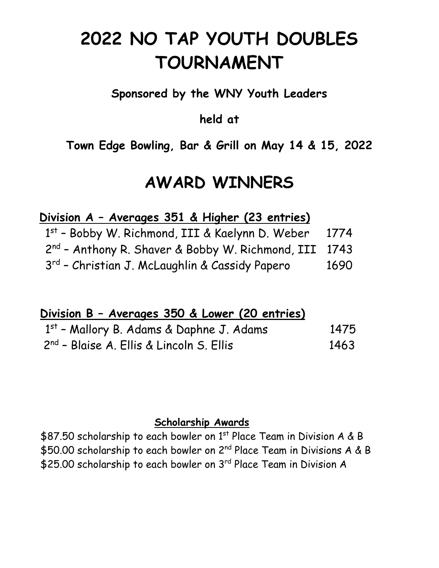# **2022 NO TAP YOUTH DOUBLES TOURNAMENT**

## **Sponsored by the WNY Youth Leaders**

### **held at**

## **Town Edge Bowling, Bar & Grill on May 14 & 15, 2022**

## **AWARD WINNERS**

#### **Division A – Averages 351 & Higher (23 entries)**

| 1st - Bobby W. Richmond, III & Kaelynn D. Weber            | 1774 |
|------------------------------------------------------------|------|
| $2^{nd}$ - Anthony R. Shaver & Bobby W. Richmond, III 1743 |      |
| 3 <sup>rd</sup> - Christian J. McLaughlin & Cassidy Papero | 1690 |

#### **Division B – Averages 350 & Lower (20 entries)**

| $1st$ - Mallory B. Adams & Daphne J. Adams           | 1475 |
|------------------------------------------------------|------|
| 2 <sup>nd</sup> - Blaise A. Ellis & Lincoln S. Ellis | 1463 |

#### **Scholarship Awards**

\$87.50 scholarship to each bowler on 1st Place Team in Division A & B \$50.00 scholarship to each bowler on 2<sup>nd</sup> Place Team in Divisions A & B \$25.00 scholarship to each bowler on 3<sup>rd</sup> Place Team in Division A